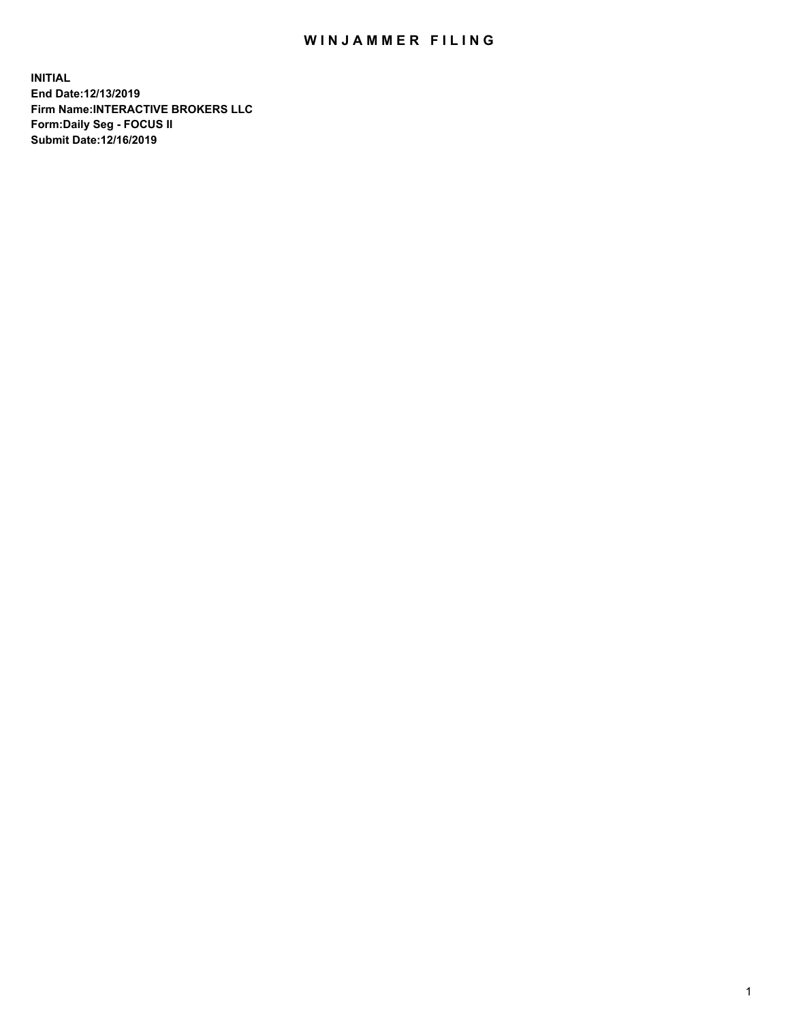## WIN JAMMER FILING

**INITIAL End Date:12/13/2019 Firm Name:INTERACTIVE BROKERS LLC Form:Daily Seg - FOCUS II Submit Date:12/16/2019**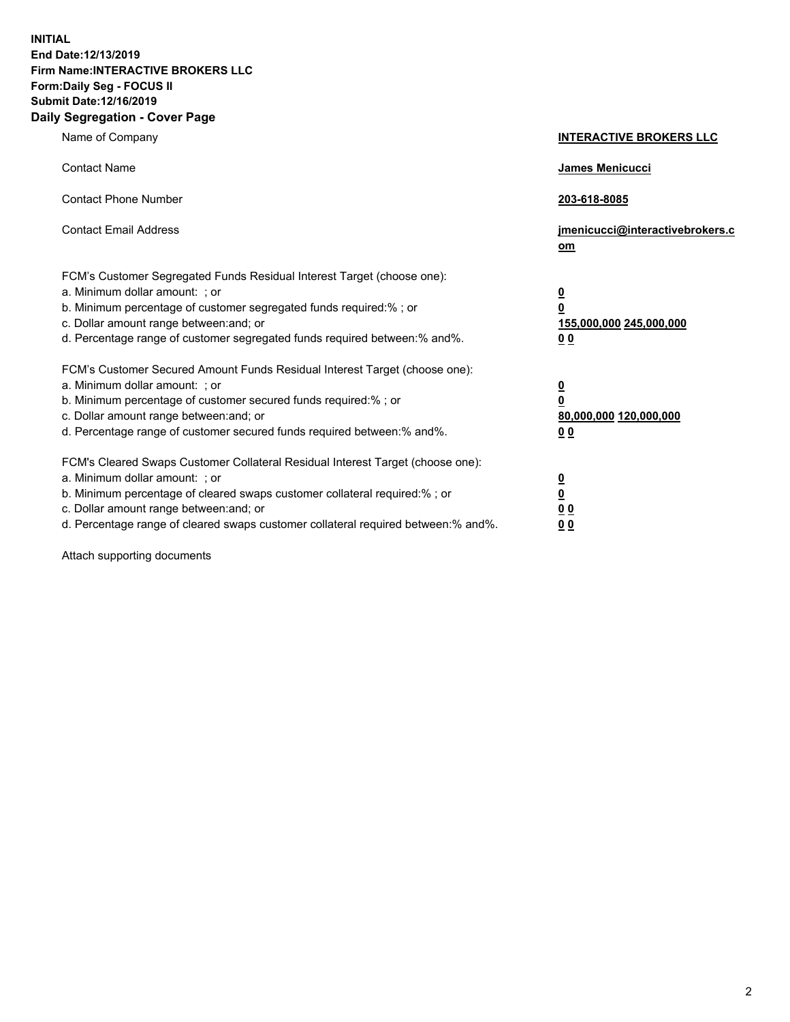**INITIAL End Date:12/13/2019 Firm Name:INTERACTIVE BROKERS LLC Form:Daily Seg - FOCUS II Submit Date:12/16/2019 Daily Segregation - Cover Page**

| Name of Company                                                                                                                                                                                                                                                                                                                | <b>INTERACTIVE BROKERS LLC</b>                                                                  |
|--------------------------------------------------------------------------------------------------------------------------------------------------------------------------------------------------------------------------------------------------------------------------------------------------------------------------------|-------------------------------------------------------------------------------------------------|
| <b>Contact Name</b>                                                                                                                                                                                                                                                                                                            | James Menicucci                                                                                 |
| <b>Contact Phone Number</b>                                                                                                                                                                                                                                                                                                    | 203-618-8085                                                                                    |
| <b>Contact Email Address</b>                                                                                                                                                                                                                                                                                                   | jmenicucci@interactivebrokers.c<br>om                                                           |
| FCM's Customer Segregated Funds Residual Interest Target (choose one):<br>a. Minimum dollar amount: ; or<br>b. Minimum percentage of customer segregated funds required:% ; or<br>c. Dollar amount range between: and; or<br>d. Percentage range of customer segregated funds required between:% and%.                         | $\overline{\mathbf{0}}$<br>$\overline{\mathbf{0}}$<br>155,000,000 245,000,000<br>0 <sub>0</sub> |
| FCM's Customer Secured Amount Funds Residual Interest Target (choose one):<br>a. Minimum dollar amount: ; or<br>b. Minimum percentage of customer secured funds required:%; or<br>c. Dollar amount range between: and; or<br>d. Percentage range of customer secured funds required between:% and%.                            | $\overline{\mathbf{0}}$<br>$\overline{\mathbf{0}}$<br>80,000,000 120,000,000<br>0 <sub>0</sub>  |
| FCM's Cleared Swaps Customer Collateral Residual Interest Target (choose one):<br>a. Minimum dollar amount: ; or<br>b. Minimum percentage of cleared swaps customer collateral required:% ; or<br>c. Dollar amount range between: and; or<br>d. Percentage range of cleared swaps customer collateral required between:% and%. | $\overline{\mathbf{0}}$<br>$\underline{\mathbf{0}}$<br>0 <sub>0</sub><br>0 <sub>0</sub>         |

Attach supporting documents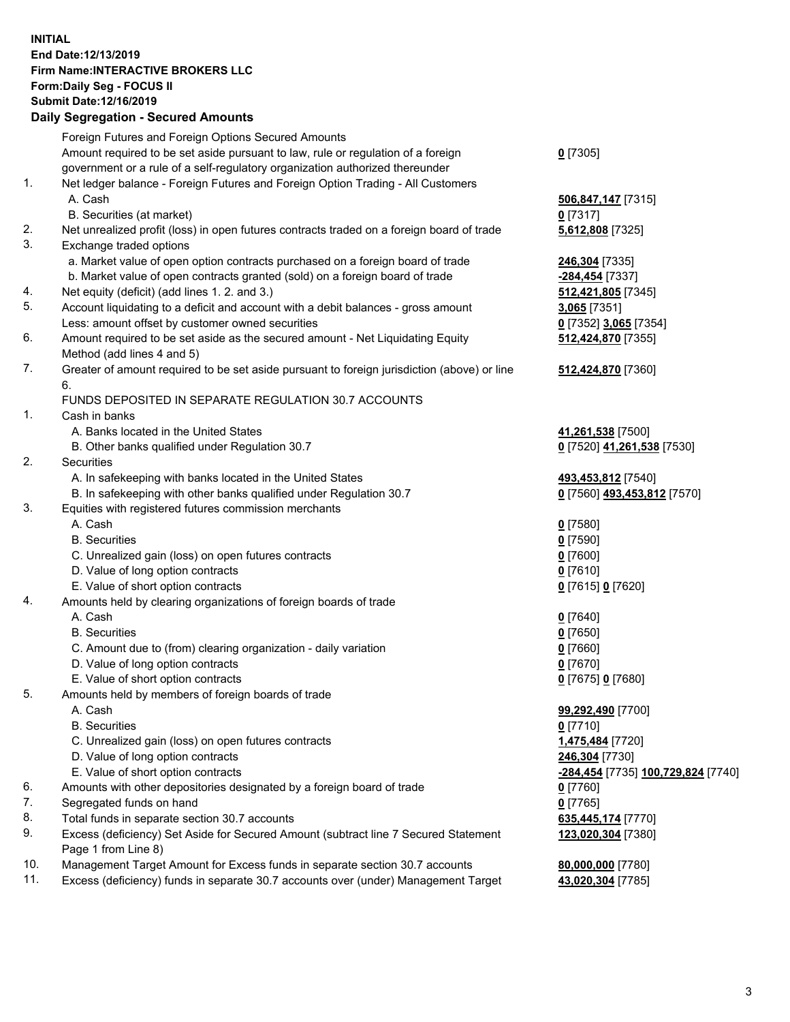## **INITIAL End Date:12/13/2019 Firm Name:INTERACTIVE BROKERS LLC Form:Daily Seg - FOCUS II Submit Date:12/16/2019 Daily Segregation - Secured Amounts**

|     | Daily Segregation - Secured Amounts                                                         |                                    |
|-----|---------------------------------------------------------------------------------------------|------------------------------------|
|     | Foreign Futures and Foreign Options Secured Amounts                                         |                                    |
|     | Amount required to be set aside pursuant to law, rule or regulation of a foreign            | $0$ [7305]                         |
|     | government or a rule of a self-regulatory organization authorized thereunder                |                                    |
| 1.  | Net ledger balance - Foreign Futures and Foreign Option Trading - All Customers             |                                    |
|     | A. Cash                                                                                     | 506,847,147 [7315]                 |
|     | B. Securities (at market)                                                                   | $0$ [7317]                         |
| 2.  | Net unrealized profit (loss) in open futures contracts traded on a foreign board of trade   | 5,612,808 [7325]                   |
| 3.  | Exchange traded options                                                                     |                                    |
|     | a. Market value of open option contracts purchased on a foreign board of trade              | 246,304 [7335]                     |
|     | b. Market value of open contracts granted (sold) on a foreign board of trade                | -284,454 [7337]                    |
| 4.  | Net equity (deficit) (add lines 1.2. and 3.)                                                | 512,421,805 [7345]                 |
| 5.  | Account liquidating to a deficit and account with a debit balances - gross amount           | 3,065 [7351]                       |
|     | Less: amount offset by customer owned securities                                            | 0 [7352] 3,065 [7354]              |
| 6.  | Amount required to be set aside as the secured amount - Net Liquidating Equity              | 512,424,870 [7355]                 |
|     | Method (add lines 4 and 5)                                                                  |                                    |
| 7.  | Greater of amount required to be set aside pursuant to foreign jurisdiction (above) or line | 512,424,870 [7360]                 |
|     | 6.                                                                                          |                                    |
|     | FUNDS DEPOSITED IN SEPARATE REGULATION 30.7 ACCOUNTS                                        |                                    |
| 1.  | Cash in banks                                                                               |                                    |
|     | A. Banks located in the United States                                                       | 41,261,538 [7500]                  |
|     | B. Other banks qualified under Regulation 30.7                                              | 0 [7520] 41,261,538 [7530]         |
| 2.  | Securities                                                                                  |                                    |
|     | A. In safekeeping with banks located in the United States                                   | 493,453,812 [7540]                 |
|     | B. In safekeeping with other banks qualified under Regulation 30.7                          | 0 [7560] 493,453,812 [7570]        |
| 3.  | Equities with registered futures commission merchants                                       |                                    |
|     | A. Cash                                                                                     | $0$ [7580]                         |
|     | <b>B.</b> Securities                                                                        | $0$ [7590]                         |
|     | C. Unrealized gain (loss) on open futures contracts                                         | $0$ [7600]                         |
|     | D. Value of long option contracts                                                           | $0$ [7610]                         |
|     | E. Value of short option contracts                                                          | 0 [7615] 0 [7620]                  |
| 4.  | Amounts held by clearing organizations of foreign boards of trade                           |                                    |
|     | A. Cash                                                                                     | $0$ [7640]                         |
|     | <b>B.</b> Securities                                                                        | $0$ [7650]                         |
|     | C. Amount due to (from) clearing organization - daily variation                             | $0$ [7660]                         |
|     | D. Value of long option contracts                                                           | $0$ [7670]                         |
|     | E. Value of short option contracts                                                          | 0 [7675] 0 [7680]                  |
| 5.  | Amounts held by members of foreign boards of trade                                          |                                    |
|     | A. Cash                                                                                     | 99,292,490 [7700]                  |
|     | <b>B.</b> Securities                                                                        | $0$ [7710]                         |
|     | C. Unrealized gain (loss) on open futures contracts                                         | 1,475,484 [7720]                   |
|     | D. Value of long option contracts                                                           | 246,304 [7730]                     |
|     | E. Value of short option contracts                                                          | -284,454 [7735] 100,729,824 [7740] |
| 6.  | Amounts with other depositories designated by a foreign board of trade                      | 0 [7760]                           |
| 7.  | Segregated funds on hand                                                                    | $0$ [7765]                         |
| 8.  | Total funds in separate section 30.7 accounts                                               | 635,445,174 [7770]                 |
| 9.  | Excess (deficiency) Set Aside for Secured Amount (subtract line 7 Secured Statement         | 123,020,304 [7380]                 |
|     | Page 1 from Line 8)                                                                         |                                    |
| 10. | Management Target Amount for Excess funds in separate section 30.7 accounts                 | 80,000,000 [7780]                  |
| 11. | Excess (deficiency) funds in separate 30.7 accounts over (under) Management Target          | 43,020,304 [7785]                  |
|     |                                                                                             |                                    |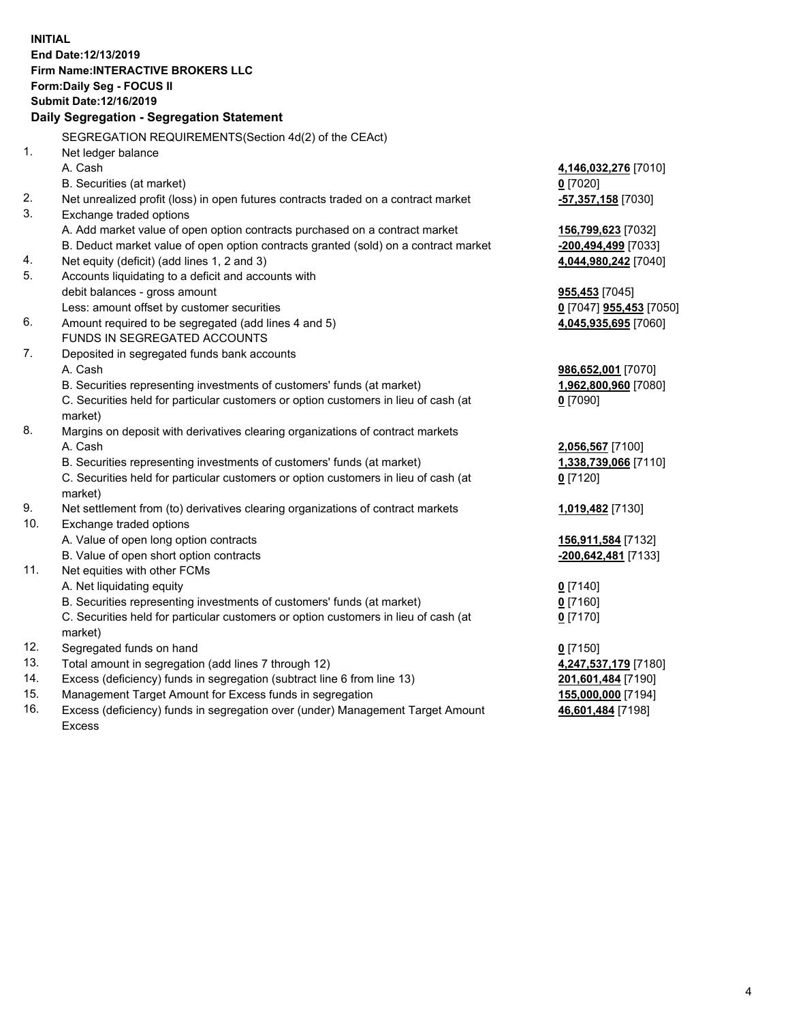**INITIAL End Date:12/13/2019 Firm Name:INTERACTIVE BROKERS LLC Form:Daily Seg - FOCUS II Submit Date:12/16/2019 Daily Segregation - Segregation Statement** SEGREGATION REQUIREMENTS(Section 4d(2) of the CEAct) 1. Net ledger balance A. Cash **4,146,032,276** [7010] B. Securities (at market) **0** [7020] 2. Net unrealized profit (loss) in open futures contracts traded on a contract market **-57,357,158** [7030] 3. Exchange traded options A. Add market value of open option contracts purchased on a contract market **156,799,623** [7032] B. Deduct market value of open option contracts granted (sold) on a contract market **-200,494,499** [7033] 4. Net equity (deficit) (add lines 1, 2 and 3) **4,044,980,242** [7040] 5. Accounts liquidating to a deficit and accounts with debit balances - gross amount **955,453** [7045] Less: amount offset by customer securities **0** [7047] **955,453** [7050] 6. Amount required to be segregated (add lines 4 and 5) **4,045,935,695** [7060] FUNDS IN SEGREGATED ACCOUNTS 7. Deposited in segregated funds bank accounts A. Cash **986,652,001** [7070] B. Securities representing investments of customers' funds (at market) **1,962,800,960** [7080] C. Securities held for particular customers or option customers in lieu of cash (at market) **0** [7090] 8. Margins on deposit with derivatives clearing organizations of contract markets A. Cash **2,056,567** [7100] B. Securities representing investments of customers' funds (at market) **1,338,739,066** [7110] C. Securities held for particular customers or option customers in lieu of cash (at market) **0** [7120] 9. Net settlement from (to) derivatives clearing organizations of contract markets **1,019,482** [7130] 10. Exchange traded options A. Value of open long option contracts **156,911,584** [7132] B. Value of open short option contracts **-200,642,481** [7133] 11. Net equities with other FCMs A. Net liquidating equity **0** [7140] B. Securities representing investments of customers' funds (at market) **0** [7160] C. Securities held for particular customers or option customers in lieu of cash (at market) **0** [7170] 12. Segregated funds on hand **0** [7150] 13. Total amount in segregation (add lines 7 through 12) **4,247,537,179** [7180] 14. Excess (deficiency) funds in segregation (subtract line 6 from line 13) **201,601,484** [7190] 15. Management Target Amount for Excess funds in segregation **155,000,000** [7194] 16. Excess (deficiency) funds in segregation over (under) Management Target Amount **46,601,484** [7198]

Excess